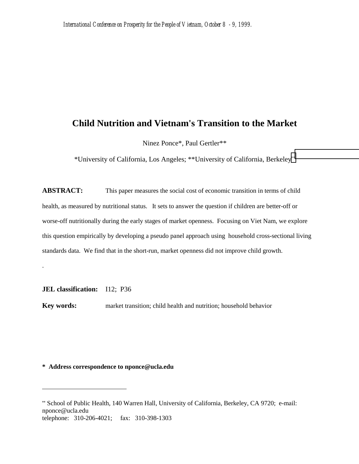# **Child Nutrition and Vietnam's Transition to the Market**

Ninez Ponce\*, Paul Gertler\*\*

\*University of California, Los Angeles; \*\*University of California, Berkeley\*\*

**ABSTRACT:** This paper measures the social cost of economic transition in terms of child health, as measured by nutritional status. It sets to answer the question if children are better-off or worse-off nutritionally during the early stages of market openness. Focusing on Viet Nam, we explore this question empirically by developing a pseudo panel approach using household cross-sectional living standards data. We find that in the short-run, market openness did not improve child growth.

**JEL classification:** I12; P36

.

 $\overline{a}$ 

**Key words:** market transition; child health and nutrition; household behavior

**\* Address correspondence to nponce@ucla.edu**

<sup>\*\*</sup> School of Public Health, 140 Warren Hall, University of California, Berkeley, CA 9720; e-mail: nponce@ucla.edu telephone: 310-206-4021; fax: 310-398-1303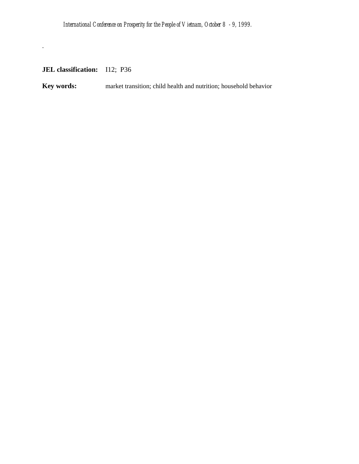**JEL classification:** I12; P36

.

**Key words:** market transition; child health and nutrition; household behavior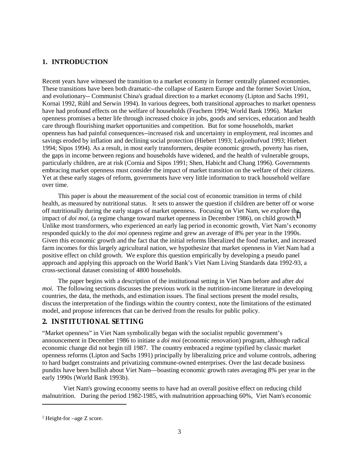## **1. INTRODUCTION**

Recent years have witnessed the transition to a market economy in former centrally planned economies. These transitions have been both dramatic--the collapse of Eastern Europe and the former Soviet Union, and evolutionary-- Communist China's gradual direction to a market economy (Lipton and Sachs 1991, Kornai 1992, Rühl and Serwin 1994). In various degrees, both transitional approaches to market openness have had profound effects on the welfare of households (Feachem 1994; World Bank 1996). Market openness promises a better life through increased choice in jobs, goods and services, education and health care through flourishing market opportunities and competition. But for some households, market openness has had painful consequences--increased risk and uncertainty in employment, real incomes and savings eroded by inflation and declining social protection (Hiebert 1993; Leijonhufvud 1993; Hiebert 1994; Sipos 1994). As a result, in most early transformers, despite economic growth, poverty has risen, the gaps in income between regions and households have widened, and the health of vulnerable groups, particularly children, are at risk (Cornia and Sipos 1991; Shen, Habicht and Chang 1996). Governments embracing market openness must consider the impact of market transition on the welfare of their citizens. Yet at these early stages of reform, governments have very little information to track household welfare over time.

This paper is about the measurement of the social cost of economic transition in terms of child health, as measured by nutritional status. It sets to answer the question if children are better off or worse off nutritionally during the early stages of market openness. Focusing on Viet Nam, we explore the impact of *doi moi*, (a regime change toward market openness in December 1986), on child growth.<sup>1</sup> Unlike most transformers, who experienced an early lag period in economic growth, Viet Nam's economy responded quickly to the *doi moi* openness regime and grew an average of 8% per year in the 1990s. Given this economic growth and the fact that the initial reforms liberalized the food market, and increased farm incomes for this largely agricultural nation, we hypothesize that market openness in Viet Nam had a positive effect on child growth. We explore this question empirically by developing a pseudo panel approach and applying this approach on the World Bank's Viet Nam Living Standards data 1992-93, a cross-sectional dataset consisting of 4800 households.

The paper begins with a description of the institutional setting in Viet Nam before and after *doi moi.* The following sections discusses the previous work in the nutrition-income literature in developing countries, the data, the methods, and estimation issues. The final sections present the model results, discuss the interpretation of the findings within the country context, note the limitations of the estimated model, and propose inferences that can be derived from the results for public policy.

## **2. INSTITUTIONAL SETTING**

"Market openness" in Viet Nam symbolically began with the socialist republic government's announcement in December 1986 to initiate a *doi moi* (economic renovation) program, although radical economic change did not begin till 1987. The country embraced a regime typified by classic market openness reforms (Lipton and Sachs 1991) principally by liberalizing price and volume controls, adhering to hard budget constraints and privatizing commune-owned enterprises. Over the last decade business pundits have been bullish about Viet Nam—boasting economic growth rates averaging 8% per year in the early 1990s (World Bank 1993b).

Viet Nam's growing economy seems to have had an overall positive effect on reducing child malnutrition. During the period 1982-1985, with malnutrition approaching 60%, Viet Nam's economic

 $\overline{a}$ 

<sup>1</sup> Height-for –age Z score.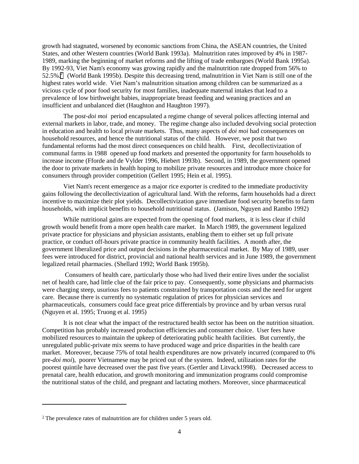growth had stagnated, worsened by economic sanctions from China, the ASEAN countries, the United States, and other Western countries (World Bank 1993a). Malnutrition rates improved by 4% in 1987- 1989, marking the beginning of market reforms and the lifting of trade embargoes (World Bank 1995a). By 1992-93, Viet Nam's economy was growing rapidly and the malnutrition rate dropped from 56% to 52.5%.<sup>2</sup> (World Bank 1995b). Despite this decreasing trend, malnutrition in Viet Nam is still one of the highest rates world wide. Viet Nam's malnutrition situation among children can be summarized as a vicious cycle of poor food security for most families, inadequate maternal intakes that lead to a prevalence of low birthweight babies, inappropriate breast feeding and weaning practices and an insufficient and unbalanced diet (Haughton and Haughton 1997).

The pos*t-doi moi* period encapsulated a regime change of several polices affecting internal and external markets in labor, trade, and money. The regime change also included devolving social protection in education and health to local private markets. Thus, many aspects of *doi moi* had consequences on household resources, and hence the nutritional status of the child. However, we posit that two fundamental reforms had the most direct consequences on child health. First, decollectivization of communal farms in 1988 opened up food markets and presented the opportunity for farm households to increase income (Fforde and de Vylder 1996, Hiebert 1993b). Second, in 1989, the government opened the door to private markets in health hoping to mobilize private resources and introduce more choice for consumers through provider competition (Gellert 1995; Hein et al. 1995).

Viet Nam's recent emergence as a major rice exporter is credited to the immediate productivity gains following the decollectivization of agricultural land. With the reforms, farm households had a direct incentive to maximize their plot yields. Decollectivization gave immediate food security benefits to farm households, with implicit benefits to household nutritional status. (Jamison, Nguyen and Rambo 1992)

While nutritional gains are expected from the opening of food markets, it is less clear if child growth would benefit from a more open health care market. In March 1989, the government legalized private practice for physicians and physician assistants, enabling them to either set up full private practice, or conduct off-hours private practice in community health facilities. A month after, the government liberalized price and output decisions in the pharmaceutical market. By May of 1989, user fees were introduced for district, provincial and national health services and in June 1989, the government legalized retail pharmacies. (Shellard 1992; World Bank 1995b).

 Consumers of health care, particularly those who had lived their entire lives under the socialist net of health care, had little clue of the fair price to pay. Consequently, some physicians and pharmacists were charging steep, usurious fees to patients constrained by transportation costs and the need for urgent care. Because there is currently no systematic regulation of prices for physician services and pharmaceuticals, consumers could face great price differentials by province and by urban versus rural (Nguyen et al. 1995; Truong et al. 1995)

It is not clear what the impact of the restructured health sector has been on the nutrition situation. Competition has probably increased production efficiencies and consumer choice. User fees have mobilized resources to maintain the upkeep of deteriorating public health facilities. But currently, the unregulated public-private mix seems to have produced wage and price disparities in the health care market. Moreover, because 75% of total health expenditures are now privately incurred (compared to 0% pre-*doi moi*), poorer Vietnamese may be priced out of the system. Indeed, utilization rates for the poorest quintile have decreased over the past five years.(Gertler and Litvack1998). Decreased access to prenatal care, health education, and growth monitoring and immunization programs could compromise the nutritional status of the child, and pregnant and lactating mothers. Moreover, since pharmaceutical

 $\overline{a}$ 

<sup>2</sup> The prevalence rates of malnutrition are for children under 5 years old.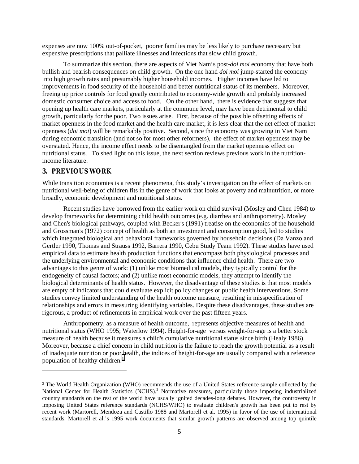expenses are now 100% out-of-pocket, poorer families may be less likely to purchase necessary but expensive prescriptions that palliate illnesses and infections that slow child growth.

 To summarize this section, there are aspects of Viet Nam's post-*doi moi* economy that have both bullish and bearish consequences on child growth. On the one hand *doi moi* jump-started the economy into high growth rates and presumably higher household incomes. Higher incomes have led to improvements in food security of the household and better nutritional status of its members. Moreover, freeing up price controls for food greatly contributed to economy-wide growth and probably increased domestic consumer choice and access to food. On the other hand, there is evidence that suggests that opening up health care markets, particularly at the commune level, may have been detrimental to child growth, particularly for the poor. Two issues arise. First, because of the possible offsetting effects of market openness in the food market and the health care market, it is less clear that the net effect of market openness (*doi moi*) will be remarkably positive. Second, since the economy was growing in Viet Nam during economic transition (and not so for most other reformers), the effect of market openness may be overstated. Hence, the income effect needs to be disentangled from the market openness effect on nutritional status. To shed light on this issue, the next section reviews previous work in the nutritionincome literature.

## **3. PREVIOUS WORK**

l

While transition economies is a recent phenomena, this study's investigation on the effect of markets on nutritional well-being of children fits in the genre of work that looks at poverty and malnutrition, or more broadly, economic development and nutritional status.

Recent studies have borrowed from the earlier work on child survival (Mosley and Chen 1984) to develop frameworks for determining child health outcomes (e.g. diarrhea and anthropometry). Mosley and Chen's biological pathways, coupled with Becker's (1991) treatise on the economics of the household and Grossman's (1972) concept of health as both an investment and consumption good, led to studies which integrated biological and behavioral frameworks governed by household decisions (Da Vanzo and Gertler 1990, Thomas and Strauss 1992, Barrera 1990, Cebu Study Team 1992). These studies have used empirical data to estimate health production functions that encompass both physiological processes and the underlying environmental and economic conditions that influence child health. There are two advantages to this genre of work: (1) unlike most biomedical models, they typically control for the endogeneity of causal factors; and (2) unlike most economic models, they attempt to identify the biological determinants of health status. However, the disadvantage of these studies is that most models are empty of indicators that could evaluate explicit policy changes or public health interventions. Some studies convey limited understanding of the health outcome measure, resulting in misspecification of relationships and errors in measuring identifying variables. Despite these disadvantages, these studies are rigorous, a product of refinements in empirical work over the past fifteen years.

Anthropometry, as a measure of health outcome, represents objective measures of health and nutritional status (WHO 1995; Waterlow 1994). Height-for-age versus weight-for-age is a better stock measure of health because it measures a child's cumulative nutritional status since birth (Healy 1986). Moreover, because a chief concern in child nutrition is the failure to reach the growth potential as a result of inadequate nutrition or poor health, the indices of height-for-age are usually compared with a reference population of healthy children.3

<sup>3</sup> The World Health Organization (WHO) recommends the use of a United States reference sample collected by the National Center for Health Statistics (NCHS).<sup>3</sup> Normative measures, particularly those imposing industrialized country standards on the rest of the world have usually ignited decades-long debates. However, the controversy in imposing United States reference standards (NCHS/WHO) to evaluate children's growth has been put to rest by recent work (Martorell, Mendoza and Castillo 1988 and Martorell et al. 1995) in favor of the use of international standards. Martorell et al.'s 1995 work documents that similar growth patterns are observed among top quintile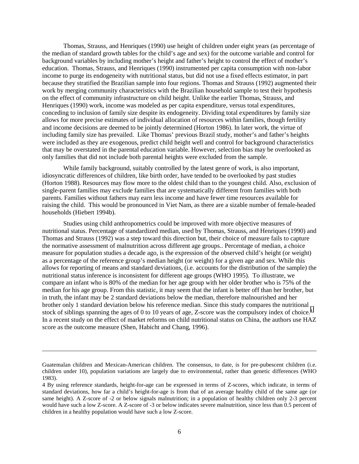Thomas, Strauss, and Henriques (1990) use height of children under eight years (as percentage of the median of standard growth tables for the child's age and sex) for the outcome variable and control for background variables by including mother's height and father's height to control the effect of mother's education. Thomas, Strauss, and Henriques (1990) instrumented per capita consumption with non-labor income to purge its endogeneity with nutritional status, but did not use a fixed effects estimator, in part because they stratified the Brazilian sample into four regions. Thomas and Strauss (1992) augmented their work by merging community characteristics with the Brazilian household sample to test their hypothesis on the effect of community infrastructure on child height. Unlike the earlier Thomas, Strauss, and Henriques (1990) work, income was modeled as per capita expenditure, versus total expenditures, conceding to inclusion of family size despite its endogeneity. Dividing total expenditures by family size allows for more precise estimates of individual allocation of resources within families, though fertility and income decisions are deemed to be jointly determined (Horton 1986). In later work, the virtue of including family size has prevailed. Like Thomas' previous Brazil study, mother's and father's heights were included as they are exogenous, predict child height well and control for background characteristics that may be overstated in the parental education variable. However, selection bias may be overlooked as only families that did not include both parental heights were excluded from the sample.

While family background, suitably controlled by the latest genre of work, is also important, idiosyncratic differences of children, like birth order, have tended to be overlooked by past studies (Horton 1988). Resources may flow more to the oldest child than to the youngest child. Also, exclusion of single-parent families may exclude families that are systematically different from families with both parents. Families without fathers may earn less income and have fewer time resources available for raising the child. This would be pronounced in Viet Nam, as there are a sizable number of female-headed households (Hiebert 1994b).

Studies using child anthropometrics could be improved with more objective measures of nutritional status. Percentage of standardized median, used by Thomas, Strauss, and Henriques (1990) and Thomas and Strauss (1992) was a step toward this direction but, their choice of measure fails to capture the normative assessment of malnutrition across different age groups.. Percentage of median, a choice measure for population studies a decade ago, is the expression of the observed child's height (or weight) as a percentage of the reference group's median height (or weight) for a given age and sex. While this allows for reporting of means and standard deviations, (i.e. accounts for the distribution of the sample) the nutritional status inference is inconsistent for different age groups (WHO 1995). To illustrate, we compare an infant who is 80% of the median for her age group with her older brother who is 75% of the median for his age group. From this statistic, it may seem that the infant is better off than her brother, but in truth, the infant may be 2 standard deviations below the median, therefore malnourished and her brother only 1 standard deviation below his reference median. Since this study compares the nutritional stock of siblings spanning the ages of 0 to 10 years of age, Z-score was the compulsory index of choice.<sup>4</sup> In a recent study on the effect of market reforms on child nutritional status on China, the authors use HAZ score as the outcome measure (Shen, Habicht and Chang, 1996).

l

Guatemalan children and Mexican-American children. The consensus, to date, is for pre-pubescent children (i.e. children under 10), population variations are largely due to environmental, rather than genetic differences (WHO 1983).

<sup>4</sup> By using reference standards, height-for-age can be expressed in terms of Z-scores, which indicate, in terms of standard deviations, how far a child's height-for-age is from that of an average healthy child of the same age (or same height). A Z-score of -2 or below signals malnutrition; in a population of healthy children only 2-3 percent would have such a low Z-score. A Z-score of -3 or below indicates severe malnutrition, since less than 0.5 percent of children in a healthy population would have such a low Z-score.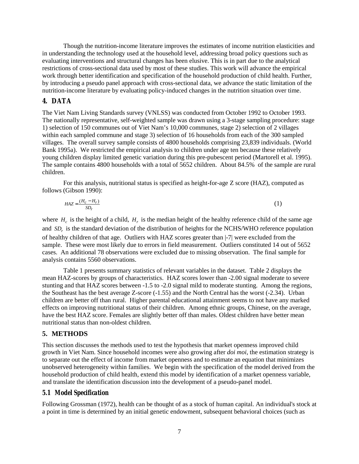Though the nutrition-income literature improves the estimates of income nutrition elasticities and in understanding the technology used at the household level, addressing broad policy questions such as evaluating interventions and structural changes has been elusive. This is in part due to the analytical restrictions of cross-sectional data used by most of these studies. This work will advance the empirical work through better identification and specification of the household production of child health. Further, by introducing a pseudo panel approach with cross-sectional data, we advance the static limitation of the nutrition-income literature by evaluating policy-induced changes in the nutrition situation over time.

## **4. DATA**

The Viet Nam Living Standards survey (VNLSS) was conducted from October 1992 to October 1993. The nationally representative, self-weighted sample was drawn using a 3-stage sampling procedure: stage 1) selection of 150 communes out of Viet Nam's 10,000 communes, stage 2) selection of 2 villages within each sampled commune and stage 3) selection of 16 households from each of the 300 sampled villages. The overall survey sample consists of 4800 households comprising 23,839 individuals. (World Bank 1995a). We restricted the empirical analysis to children under age ten because these relatively young children display limited genetic variation during this pre-pubescent period (Martorell et al. 1995). The sample contains 4800 households with a total of 5652 children. About 84.5% of the sample are rural children.

For this analysis, nutritional status is specified as height-for-age Z score (HAZ), computed as follows (Gibson 1990):

$$
HAZ = \frac{(H_c - H_r)}{SD_r} \tag{1}
$$

where  $H_c$  is the height of a child,  $H_r$  is the median height of the healthy reference child of the same age and *SD<sub>r</sub>* is the standard deviation of the distribution of heights for the NCHS/WHO reference population of healthy children of that age. Outliers with HAZ scores greater than |-7| were excluded from the sample. These were most likely due to errors in field measurement. Outliers constituted 14 out of 5652 cases. An additional 78 observations were excluded due to missing observation. The final sample for analysis contains 5560 observations.

Table 1 presents summary statistics of relevant variables in the dataset. Table 2 displays the mean HAZ-scores by groups of characteristics. HAZ scores lower than -2.00 signal moderate to severe stunting and that HAZ scores between -1.5 to -2.0 signal mild to moderate stunting. Among the regions, the Southeast has the best average Z-score (-1.55) and the North Central has the worst (-2.34). Urban children are better off than rural. Higher parental educational attainment seems to not have any marked effects on improving nutritional status of their children. Among ethnic groups, Chinese, on the average, have the best HAZ score. Females are slightly better off than males. Oldest children have better mean nutritional status than non-oldest children.

#### **5. METHODS**

This section discusses the methods used to test the hypothesis that market openness improved child growth in Viet Nam. Since household incomes were also growing after *doi moi*, the estimation strategy is to separate out the effect of income from market openness and to estimate an equation that minimizes unobserved heterogeneity within families. We begin with the specification of the model derived from the household production of child health, extend this model by identification of a market openness variable, and translate the identification discussion into the development of a pseudo-panel model.

#### *5.1 Model Specification*

Following Grossman (1972), health can be thought of as a stock of human capital. An individual's stock at a point in time is determined by an initial genetic endowment, subsequent behavioral choices (such as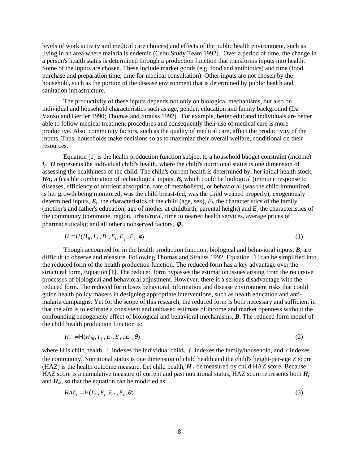levels of work activity and medical care choices) and effects of the public health environment, such as living in an area where malaria is endemic (Cebu Study Team 1992). Over a period of time, the change in a person's health status is determined through a production function that transforms inputs into health. Some of the inputs are chosen. These include market goods (e.g. food and antibiotics) and time (food purchase and preparation time, time for medical consultation). Other inputs are not chosen by the household, such as the portion of the disease environment that is determined by public health and sanitation infrastructure.

The productivity of these inputs depends not only on biological mechanisms, but also on individual and household characteristics such as age, gender, education and family background (Da Vanzo and Gertler 1990; Thomas and Strauss 1992). For example, better educated individuals are better able to follow medical treatment procedures and consequently their use of medical care is more productive. Also, community factors, such as the quality of medical care, affect the productivity of the inputs. Thus, households make decisions so as to maximize their overall welfare, conditional on their resources.

Equation [1] is the health production function subject to a household budget constraint (income) *If*. *H* represents the individual child's health, where the child's nutritional status is one dimension of assessing the healthiness of the child. The child's current health is determined by: her initial health stock, *Ho*; a feasible combination of technological inputs, *B*, which could be biological (immune response to diseases, efficiency of nutrient absorption, rate of metabolism), or behavioral (was the child immunized, is her growth being monitored, was the child breast-fed, was the child weaned properly); exogenously determined inputs,  $E_i$ , the characteristics of the child (age, sex),  $E_f$ , the characteristics of the family (mother's and father's education, age of mother at childbirth, parental height) and *Ec* the characteristics of the community (commune, region, urban/rural, time to nearest health services, average prices of pharmaceuticals); and all other unobserved factors,  $\phi$ .

$$
H = H(H_0, I_f, B, E_i, E_f, E_c, \phi) \tag{1}
$$

Though accounted for in the health production function, biological and behavioral inputs, *B*, are difficult to observe and measure. Following Thomas and Strauss 1992, Equation [1] can be simplified into the reduced form of the health production function. The reduced form has a key advantage over the structural form, Equation [1]. The reduced form bypasses the estimation issues arising from the recursive processes of biological and behavioral adjustment. However, there is a serious disadvantage with the reduced form. The reduced form loses behavioral information and disease environment risks that could guide health policy makers in designing appropriate interventions, such as health education and antimalaria campaigns. Yet for the scope of this research, the reduced form is both necessary and sufficient in that the aim is to estimate a consistent and unbiased estimate of income and market openness without the confounding endogeneity effect of biological and behavioral mechanisms, *B*. The reduced form model of the child health production function is:

$$
H_i = H(H_{i0}, I_f, E_i, E_f, E_c, \theta)
$$
\n<sup>(2)</sup>

where H is child health, *i* indexes the individual child*, f* indexes the family/household, and *c* indexes the community. Nutritional status is one dimension of child health and the child's height-per-age Z score (HAZ) is the health outcome measure. Let child health, *H* **,** be measured by child HAZ score. Because HAZ score is a cumulative measure of current and past nutritional status, HAZ score represents both *Hi* and  $H_{io}$ , so that the equation can be modified as:

$$
HAZ_i = H(I_f, E_i, E_f, E_c, \theta)
$$
\n<sup>(3)</sup>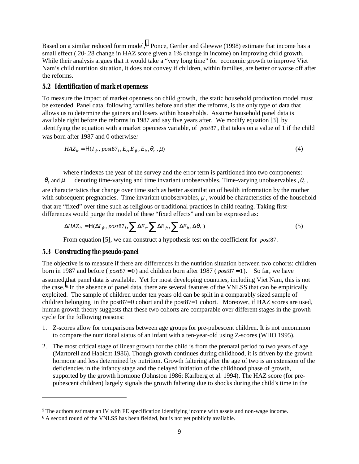Based on a similar reduced form model,<sup>5</sup> Ponce, Gertler and Glewwe (1998) estimate that income has a small effect (.20-.28 change in HAZ score given a 1% change in income) on improving child growth. While their analysis argues that it would take a "very long time" for economic growth to improve Viet Nam's child nutrition situation, it does not convey if children, within families, are better or worse off after the reforms.

#### *5.2 Identification of market openness*

To measure the impact of market openness on child growth, the static household production model must be extended. Panel data, following families before and after the reforms, is the only type of data that allows us to determine the gainers and losers within households. Assume household panel data is available right before the reforms in 1987 and say five years after. We modify equation [3] by identifying the equation with a market openness variable, of *post*87 , that takes on a value of 1 if the child was born after 1987 and 0 otherwise*:*

$$
HAZ_{it} = H(I_{ft}, post87_i, E_{ct}E_{ft}, E_{it}, \theta_t, \mu)
$$
\n
$$
\tag{4}
$$

where  $t$  indexes the year of the survey and the error term is partitioned into two components:  $\theta_t$  and  $\mu$  denoting time-varying and time invariant unobservables. Time-varying unobservables  $\theta_t$ , are characteristics that change over time such as better assimilation of health information by the mother with subsequent pregnancies. Time invariant unobservables,  $\mu$ , would be characteristics of the household that are "fixed" over time such as religious or traditional practices in child rearing. Taking firstdifferences would purge the model of these "fixed effects" and can be expressed as:

$$
\Delta H A Z_{it} = \text{H}(\Delta I_{ft}, post87_i, \sum \Delta E_{ct} \sum \Delta E_{ft}, \sum \Delta E_{it}, \Delta \theta_t)
$$
\n(5)

From equation [5], we can construct a hypothesis test on the coefficient for *post*87 *.*

### *5.3 Constructing the pseudo-panel*

 $\overline{a}$ 

The objective is to measure if there are differences in the nutrition situation between two cohorts: children born in 1987 and before ( $post87 = 0$ ) and children born after 1987 ( $post87 = 1$ ). So far, we have assumed that panel data is available. Yet for most developing countries, including Viet Nam, this is not the case. 6 In the absence of panel data, there are several features of the VNLSS that can be empirically exploited. The sample of children under ten years old can be split in a comparably sized sample of children belonging in the post87=0 cohort and the post87=1 cohort. Moreover, if HAZ scores are used, human growth theory suggests that these two cohorts are comparable over different stages in the growth cycle for the following reasons:

- 1. Z-scores allow for comparisons between age groups for pre-pubescent children. It is not uncommon to compare the nutritional status of an infant with a ten-year-old using Z-scores (WHO 1995).
- 2. The most critical stage of linear growth for the child is from the prenatal period to two years of age (Martorell and Habicht 1986). Though growth continues during childhood, it is driven by the growth hormone and less determined by nutrition. Growth faltering after the age of two is an extension of the deficiencies in the infancy stage and the delayed initiation of the childhood phase of growth, supported by the growth hormone (Johnston 1986; Karlberg et al. 1994). The HAZ score (for prepubescent children) largely signals the growth faltering due to shocks during the child's time in the

<sup>5</sup> The authors estimate an IV with FE specification identifying income with assets and non-wage income.

<sup>&</sup>lt;sup>6</sup> A second round of the VNLSS has been fielded, but is not yet publicly available.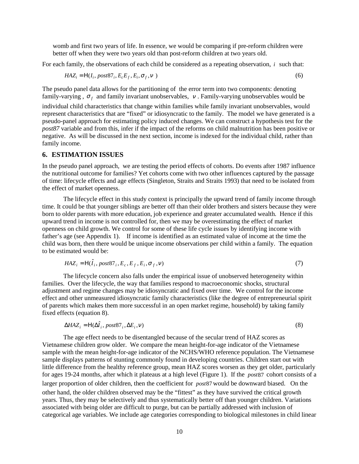womb and first two years of life. In essence, we would be comparing if pre-reform children were better off when they were two years old than post-reform children at two years old.

For each family, the observations of each child be considered as a repeating observation, *i* such that:

$$
HAZ_i = H(I_i, post87_i, E_cE_f, E_i, \sigma_f, v) \tag{6}
$$

The pseudo panel data allows for the partitioning of the error term into two components: denoting family-varying,  $\sigma_f$  and family invariant unobservables, v. Family-varying unobservables would be

individual child characteristics that change within families while family invariant unobservables, would represent characteristics that are "fixed" or idiosyncratic to the family. The model we have generated is a pseudo-panel approach for estimating policy induced changes. We can construct a hypothesis test for the *post87* variable and from this, infer if the impact of the reforms on child malnutrition has been positive or negative. As will be discussed in the next section, income is indexed for the individual child, rather than family income.

#### **6. ESTIMATION ISSUES**

In the pseudo panel approach, we are testing the period effects of cohorts. Do events after 1987 influence the nutritional outcome for families? Yet cohorts come with two other influences captured by the passage of time: lifecycle effects and age effects (Singleton, Straits and Straits 1993) that need to be isolated from the effect of market openness.

The lifecycle effect in this study context is principally the upward trend of family income through time. It could be that younger siblings are better off than their older brothers and sisters because they were born to older parents with more education, job experience and greater accumulated wealth. Hence if this upward trend in income is not controlled for, then we may be overestimating the effect of market openness on child growth. We control for some of these life cycle issues by identifying income with father's age (see Appendix 1). If income is identified as an estimated value of income at the time the child was born, then there would be unique income observations per child within a family. The equation to be estimated would be:

$$
H A Z_i = \text{H}(\hat{I}_i, \text{post} 87_i, E_c, E_f, E_i, \sigma_f, v) \tag{7}
$$

The lifecycle concern also falls under the empirical issue of unobserved heterogeneity within families. Over the lifecycle, the way that families respond to macroeconomic shocks, structural adjustment and regime changes may be idiosyncratic and fixed over time. We control for the income effect and other unmeasured idiosyncratic family characteristics (like the degree of entrepreneurial spirit of parents which makes them more successful in an open market regime, household) by taking family fixed effects (equation 8).

$$
\Delta H A Z_i = H(\Delta \hat{I}_i, \text{post} 87_i, \Delta E_i, v) \tag{8}
$$

The age effect needs to be disentangled because of the secular trend of HAZ scores as Vietnamese children grow older. We compare the mean height-for-age indicator of the Vietnamese sample with the mean height-for-age indicator of the NCHS/WHO reference population. The Vietnamese sample displays patterns of stunting commonly found in developing countries. Children start out with little difference from the healthy reference group, mean HAZ scores worsen as they get older, particularly for ages 19-24 months, after which it plateaus at a high level (Figure 1). If the *post*87 cohort consists of a larger proportion of older children, then the coefficient for *post*87 would be downward biased. On the other hand, the older children observed may be the "fittest" as they have survived the critical growth years. Thus, they may be selectively and thus systematically better off than younger children. Variations associated with being older are difficult to purge, but can be partially addressed with inclusion of categorical age variables. We include age categories corresponding to biological milestones in child linear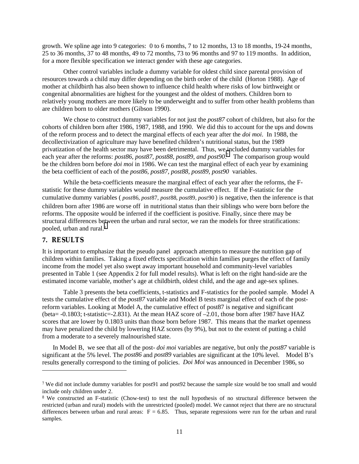growth. We spline age into 9 categories: 0 to 6 months, 7 to 12 months, 13 to 18 months, 19-24 months, 25 to 36 months, 37 to 48 months, 49 to 72 months, 73 to 96 months and 97 to 119 months. In addition, for a more flexible specification we interact gender with these age categories.

Other control variables include a dummy variable for oldest child since parental provision of resources towards a child may differ depending on the birth order of the child (Horton 1988). Age of mother at childbirth has also been shown to influence child health where risks of low birthweight or congenital abnormalities are highest for the youngest and the oldest of mothers. Children born to relatively young mothers are more likely to be underweight and to suffer from other health problems than are children born to older mothers (Gibson 1990).

We chose to construct dummy variables for not just the *post87* cohort of children, but also for the cohorts of children born after 1986, 1987, 1988, and 1990. We did this to account for the ups and downs of the reform process and to detect the marginal effects of each year after the *doi moi*. In 1988, the decollectivization of agriculture may have benefited children's nutritional status, but the 1989 privatization of the health sector may have been detrimental. Thus, we included dummy variables for each year after the reforms: *post86, post87, post88*, *post89, and post90*. 7 The comparison group would be the children born before *doi moi* in 1986. We can test the marginal effect of each year by examining the beta coefficient of each of the *post86, post87, post88*, *post89, post90* variables.

While the beta-coefficients measure the marginal effect of each year after the reforms, the Fstatistic for these dummy variables would measure the cumulative effect. If the F-statistic for the cumulative dummy variables (*post86, post87, post88, post89, post90*) is negative, then the inference is that children born after 1986 are worse off in nutritional status than their siblings who were born before the reforms. The opposite would be inferred if the coefficient is positive. Finally, since there may be structural differences between the urban and rural sector, we ran the models for three stratifications: pooled, urban and rural.<sup>8</sup>

### **7. RESULTS**

l

It is important to emphasize that the pseudo panel approach attempts to measure the nutrition gap of children within families. Taking a fixed effects specification within families purges the effect of family income from the model yet also swept away important household and community-level variables presented in Table 1 (see Appendix 2 for full model results). What is left on the right hand-side are the estimated income variable, mother's age at childbirth, oldest child, and the age and age-sex splines.

Table 3 presents the beta coefficients, t-statistics and F-statistics for the pooled sample. Model A tests the cumulative effect of the *post87* variable and Model B tests marginal effect of each of the postreform variables. Looking at Model A, the cumulative effect of post87 is negative and significant (beta= -0.1803; t-statistic=-2.831). At the mean HAZ score of –2.01, those born after 1987 have HAZ scores that are lower by 0.1803 units than those born before 1987. This means that the market openness may have penalized the child by lowering HAZ scores (by 9%), but not to the extent of putting a child from a moderate to a severely malnourished state.

In Model B, we see that all of the post- *doi moi* variables are negative, but only the *post87* variable is significant at the 5% level. The *post86* and *post89* variables are significant at the 10% level. Model B's results generally correspond to the timing of policies. *Doi Moi* was announced in December 1986, so

<sup>7</sup> We did not include dummy variables for post91 and post92 because the sample size would be too small and would include only children under 2.

<sup>8</sup> We constructed an F-statistic (Chow-test) to test the null hypothesis of no structural difference between the restricted (urban and rural) models with the unrestricted (pooled) model. We cannot reject that there are no structural differences between urban and rural areas:  $F = 6.85$ . Thus, separate regressions were run for the urban and rural samples.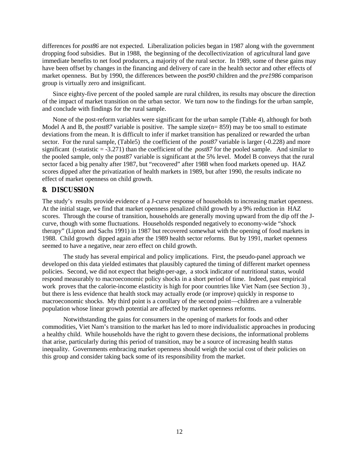differences for *post86* are not expected. Liberalization policies began in 1987 along with the government dropping food subsidies. But in 1988, the beginning of the decollectivization of agricultural land gave immediate benefits to net food producers, a majority of the rural sector. In 1989, some of these gains may have been offset by changes in the financing and delivery of care in the health sector and other effects of market openness. But by 1990, the differences between the *post90* children and the *pre1986* comparison group is virtually zero and insignificant.

Since eighty-five percent of the pooled sample are rural children, its results may obscure the direction of the impact of market transition on the urban sector. We turn now to the findings for the urban sample, and conclude with findings for the rural sample.

None of the post-reform variables were significant for the urban sample (Table 4), although for both Model A and B, the *post87* variable is positive. The sample size(n= 859) may be too small to estimate deviations from the mean. It is difficult to infer if market transition has penalized or rewarded the urban sector. For the rural sample, (Table5) the coefficient of the *post87* variable is larger (-0.228) and more significant (t-statistic = -3.271) than the coefficient of the *post87* for the pooled sample. And similar to the pooled sample, only the post87 variable is significant at the 5% level. Model B conveys that the rural sector faced a big penalty after 1987, but "recovered" after 1988 when food markets opened up. HAZ scores dipped after the privatization of health markets in 1989, but after 1990, the results indicate no effect of market openness on child growth.

## **8. DISCUSSION**

The study's results provide evidence of a J-curve response of households to increasing market openness. At the initial stage, we find that market openness penalized child growth by a 9% reduction in HAZ scores. Through the course of transition, households are generally moving upward from the dip off the Jcurve, though with some fluctuations. Households responded negatively to economy-wide "shock therapy" (Lipton and Sachs 1991) in 1987 but recovered somewhat with the opening of food markets in 1988. Child growth dipped again after the 1989 health sector reforms. But by 1991, market openness seemed to have a negative, near zero effect on child growth.

The study has several empirical and policy implications. First, the pseudo-panel approach we developed on this data yielded estimates that plausibly captured the timing of different market openness policies. Second, we did not expect that height-per-age, a stock indicator of nutritional status, would respond measurably to macroeconomic policy shocks in a short period of time. Indeed, past empirical work proves that the calorie-income elasticity is high for poor countries like Viet Nam (see Section 3) , but there is less evidence that health stock may actually erode (or improve) quickly in response to macroeconomic shocks. My third point is a corollary of the second point—children are a vulnerable population whose linear growth potential are affected by market openness reforms.

Notwithstanding the gains for consumers in the opening of markets for foods and other commodities, Viet Nam's transition to the market has led to more individualistic approaches in producing a healthy child. While households have the right to govern these decisions, the informational problems that arise, particularly during this period of transition, may be a source of increasing health status inequality. Governments embracing market openness should weigh the social cost of their policies on this group and consider taking back some of its responsibility from the market.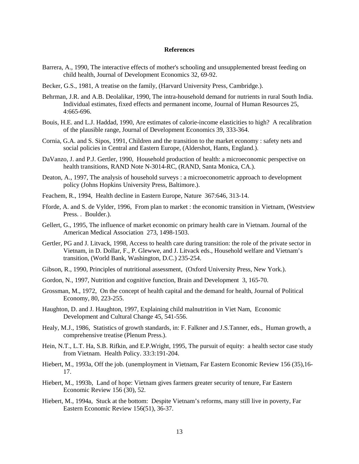#### **References**

- Barrera, A., 1990, The interactive effects of mother's schooling and unsupplemented breast feeding on child health, Journal of Development Economics 32, 69-92.
- Becker, G.S., 1981, A treatise on the family, (Harvard University Press, Cambridge.).
- Behrman, J.R. and A.B. Deolalikar, 1990, The intra-household demand for nutrients in rural South India. Individual estimates, fixed effects and permanent income, Journal of Human Resources 25, 4:665-696.
- Bouis, H.E. and L.J. Haddad, 1990, Are estimates of calorie-income elasticities to high? A recalibration of the plausible range, Journal of Development Economics 39, 333-364.
- Cornia, G.A. and S. Sipos, 1991, Children and the transition to the market economy : safety nets and social policies in Central and Eastern Europe, (Aldershot, Hants, England.).
- DaVanzo, J. and P.J. Gertler, 1990, Household production of health: a microeconomic perspective on health transitions, RAND Note N-3014-RC, (RAND, Santa Monica, CA.).
- Deaton, A., 1997, The analysis of household surveys : a microeconometric approach to development policy (Johns Hopkins University Press, Baltimore.).
- Feachem, R., 1994, Health decline in Eastern Europe, Nature 367:646, 313-14.
- Fforde, A. and S. de Vylder, 1996, From plan to market : the economic transition in Vietnam, (Westview Press. . Boulder.).
- Gellert, G., 1995, The influence of market economic on primary health care in Vietnam. Journal of the American Medical Association 273, 1498-1503.
- Gertler, PG and J. Litvack, 1998, Access to health care during transition: the role of the private sector in Vietnam, in D. Dollar, F., P. Glewwe, and J. Litvack eds., Household welfare and Vietnam's transition, (World Bank, Washington, D.C.) 235-254.
- Gibson, R., 1990, Principles of nutritional assessment, (Oxford University Press, New York.).
- Gordon, N., 1997, Nutrition and cognitive function, Brain and Development 3, 165-70.
- Grossman, M., 1972, On the concept of health capital and the demand for health, Journal of Political Economy, 80, 223-255.
- Haughton, D. and J. Haughton, 1997, Explaining child malnutrition in Viet Nam, Economic Development and Cultural Change 45, 541-556.
- Healy, M.J., 1986, Statistics of growth standards, in: F. Falkner and J.S.Tanner, eds., Human growth, a comprehensive treatise (Plenum Press.).
- Hein, N.T., L.T. Ha, S.B. Rifkin, and E.P.Wright, 1995, The pursuit of equity: a health sector case study from Vietnam. Health Policy. 33:3:191-204.
- Hiebert, M., 1993a, Off the job. (unemployment in Vietnam, Far Eastern Economic Review 156 (35),16- 17.
- Hiebert, M., 1993b, Land of hope: Vietnam gives farmers greater security of tenure, Far Eastern Economic Review 156 (30), 52.
- Hiebert, M., 1994a, Stuck at the bottom: Despite Vietnam's reforms, many still live in poverty, Far Eastern Economic Review 156(51), 36-37.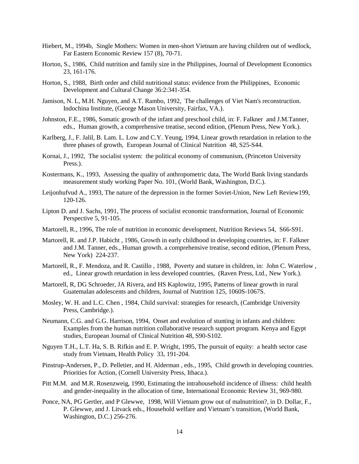- Hiebert, M., 1994b, Single Mothers: Women in men-short Vietnam are having children out of wedlock, Far Eastern Economic Review 157 (8), 70-71.
- Horton, S., 1986, Child nutrition and family size in the Philippines, Journal of Development Economics 23, 161-176.
- Horton, S., 1988, Birth order and child nutritional status: evidence from the Philippines, Economic Development and Cultural Change 36:2:341-354.
- Jamison, N. L, M.H. Nguyen, and A.T. Rambo, 1992, The challenges of Viet Nam's reconstruction. Indochina Institute, (George Mason University, Fairfax, VA.).
- Johnston, F.E., 1986, Somatic growth of the infant and preschool child, in: F. Falkner and J.M.Tanner, eds., Human growth, a comprehensive treatise, second edition, (Plenum Press, New York.).
- Karlberg, J., F. Jalil, B. Lam. L. Low and C.Y. Yeung, 1994, Linear growth retardation in relation to the three phases of growth, European Journal of Clinical Nutrition 48, S25-S44.
- Kornai, J., 1992, The socialist system: the political economy of communism, (Princeton University Press.).
- Kostermans, K., 1993, Assessing the quality of anthropometric data, The World Bank living standards measurement study working Paper No. 101, (World Bank, Washington, D.C.).
- Leijonhufvud A., 1993, The nature of the depression in the former Soviet-Union, New Left Review199, 120-126.
- Lipton D. and J. Sachs, 1991, The process of socialist economic transformation, Journal of Economic Perspective 5, 91-105.
- Martorell, R., 1996, The role of nutrition in economic development, Nutrition Reviews 54, S66-S91.
- Martorell, R. and J.P. Habicht , 1986, Growth in early childhood in developing countries, in: F. Falkner and J.M. Tanner, eds., Human growth. a comprehensive treatise, second edition, (Plenum Press, New York) 224-237.
- Martorell, R., F. Mendoza, and R. Castillo , 1988, Poverty and stature in children, in: John C. Waterlow , ed., Linear growth retardation in less developed countries, (Raven Press, Ltd., New York.).
- Martorell, R, DG Schroeder, JA Rivera, and HS Kaplowitz, 1995, Patterns of linear growth in rural Guatemalan adolescents and children, Journal of Nutrition 125, 1060S-1067S.
- Mosley, W. H. and L.C. Chen , 1984, Child survival: strategies for research, (Cambridge University Press, Cambridge.).
- Neumann, C.G. and G.G. Harrison, 1994, Onset and evolution of stunting in infants and children: Examples from the human nutrition collaborative research support program. Kenya and Egypt studies, European Journal of Clinical Nutrition 48, S90-S102.
- Nguyen T.H., L.T. Ha, S. B. Rifkin and E. P. Wright, 1995, The pursuit of equity: a health sector case study from Vietnam, Health Policy 33, 191-204.
- Pinstrup-Andersen, P., D. Pelletier, and H. Alderman , eds., 1995, Child growth in developing countries. Priorities for Action, (Cornell University Press, Ithaca.).
- Pitt M.M. and M.R. Rosenzweig, 1990, Estimating the intrahousehold incidence of illness: child health and gender-inequality in the allocation of time, International Economic Review 31, 969-980.
- Ponce, NA, PG Gertler, and P Glewwe, 1998, Will Vietnam grow out of malnutrition?, in D. Dollar, F., P. Glewwe, and J. Litvack eds., Household welfare and Vietnam's transition, (World Bank, Washington, D.C.) 256-276.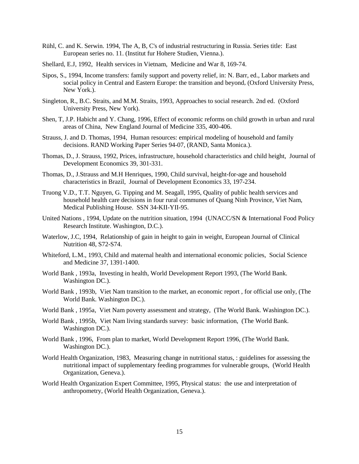- Rühl, C. and K. Serwin. 1994, The A, B, C's of industrial restructuring in Russia. Series title: East European series no. 11. (Institut fur Hohere Studien, Vienna.).
- Shellard, E.J, 1992, Health services in Vietnam, Medicine and War 8, 169-74.
- Sipos, S., 1994, Income transfers: family support and poverty relief, in: N. Barr, ed., Labor markets and social policy in Central and Eastern Europe: the transition and beyond*,* (Oxford University Press, New York.).
- Singleton, R., B.C. Straits, and M.M. Straits, 1993, Approaches to social research. 2nd ed. (Oxford University Press, New York).
- Shen, T, J.P. Habicht and Y. Chang, 1996, Effect of economic reforms on child growth in urban and rural areas of China, New England Journal of Medicine 335, 400-406.
- Strauss, J. and D. Thomas, 1994, Human resources: empirical modeling of household and family decisions. RAND Working Paper Series 94-07, (RAND, Santa Monica.).
- Thomas, D., J. Strauss, 1992, Prices, infrastructure, household characteristics and child height, Journal of Development Economics 39, 301-331.
- Thomas, D., J.Strauss and M.H Henriques, 1990, Child survival, height-for-age and household characteristics in Brazil, Journal of Development Economics 33, 197-234.
- Truong V.D., T.T. Nguyen, G. Tipping and M. Seagall, 1995, Quality of public health services and household health care decisions in four rural communes of Quang Ninh Province, Viet Nam, Medical Publishing House. SSN 34-KII-YII-95.
- United Nations , 1994, Update on the nutrition situation, 1994 (UNACC/SN & International Food Policy Research Institute. Washington, D.C.).
- Waterlow, J.C, 1994, Relationship of gain in height to gain in weight, European Journal of Clinical Nutrition 48, S72-S74.
- Whiteford, L.M., 1993, Child and maternal health and international economic policies, Social Science and Medicine 37, 1391-1400.
- World Bank , 1993a, Investing in health, World Development Report 1993, (The World Bank. Washington DC.).
- World Bank , 1993b, Viet Nam transition to the market, an economic report , for official use only, (The World Bank. Washington DC.).
- World Bank , 1995a, Viet Nam poverty assessment and strategy, (The World Bank. Washington DC.).
- World Bank , 1995b, Viet Nam living standards survey: basic information, (The World Bank. Washington DC.).
- World Bank , 1996, From plan to market, World Development Report 1996, (The World Bank. Washington DC.).
- World Health Organization, 1983, Measuring change in nutritional status, : guidelines for assessing the nutritional impact of supplementary feeding programmes for vulnerable groups, (World Health Organization, Geneva.).
- World Health Organization Expert Committee, 1995, Physical status: the use and interpretation of anthropometry, (World Health Organization, Geneva.).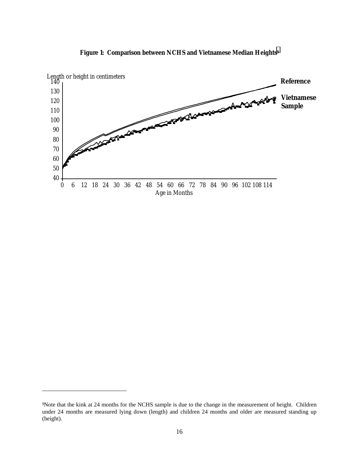

**Figure 1: Comparison between NCHS and Vietnamese Median Heights9**

l

<sup>9</sup>Note that the kink at 24 months for the NCHS sample is due to the change in the measurement of height. Children under 24 months are measured lying down (length) and children 24 months and older are measured standing up (height).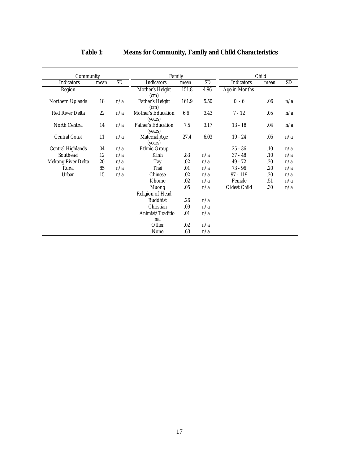| Community                |      |           | Family                               |       |           | Child               |      |           |  |
|--------------------------|------|-----------|--------------------------------------|-------|-----------|---------------------|------|-----------|--|
| <b>Indicators</b>        | mean | <b>SD</b> | <b>Indicators</b>                    | mean  | <b>SD</b> | <b>Indicators</b>   | mean | <b>SD</b> |  |
| Region                   |      |           | Mother's Height<br>(cm)              | 151.8 | 4.96      | Age in Months       |      |           |  |
| Northern Uplands         | .18  | n/a       | <b>Father's Height</b><br>(cm)       | 161.9 | 5.50      | $0 - 6$             | .06  | n/a       |  |
| <b>Red River Delta</b>   | .22  | n/a       | Mother's Education<br>(years)        | 6.6   | 3.43      | $7 - 12$            | .05  | n/a       |  |
| <b>North Central</b>     | .14  | n/a       | <b>Father's Education</b><br>(years) | 7.5   | 3.17      | $13 - 18$           | .04  | n/a       |  |
| <b>Central Coast</b>     | .11  | n/a       | <b>Maternal Age</b><br>(years)       | 27.4  | 6.03      | $19 - 24$           | .05  | n/a       |  |
| <b>Central Highlands</b> | .04  | n/a       | <b>Ethnic Group</b>                  |       |           | $25 - 36$           | .10  | n/a       |  |
| <b>Southeast</b>         | .12  | n/a       | Kinh                                 | .83   | n/a       | $37 - 48$           | .10  | n/a       |  |
| Mekong River Delta       | .20  | n/a       | Tay                                  | .02   | n/a       | $49 - 72$           | .20  | n/a       |  |
| Rural                    | .85  | n/a       | Thai                                 | .01   | n/a       | $73 - 96$           | .20  | n/a       |  |
| Urban                    | .15  | n/a       | <b>Chinese</b>                       | .02   | n/a       | $97 - 119$          | .20  | n/a       |  |
|                          |      |           | Khome                                | .02   | n/a       | Female              | .51  | n/a       |  |
|                          |      |           | Muong                                | .05   | n/a       | <b>Oldest Child</b> | .30  | n/a       |  |
|                          |      |           | Religion of Head                     |       |           |                     |      |           |  |
|                          |      |           | <b>Buddhist</b>                      | .26   | n/a       |                     |      |           |  |
|                          |      |           | Christian                            | .09   | n/a       |                     |      |           |  |
|                          |      |           | Animist/Traditio                     | .01   | n/a       |                     |      |           |  |
|                          |      |           | nal                                  |       |           |                     |      |           |  |
|                          |      |           | Other                                | .02   | n/a       |                     |      |           |  |
|                          |      |           | None                                 | .63   | n/a       |                     |      |           |  |

## **Table 1: Means for Community, Family and Child Characteristics**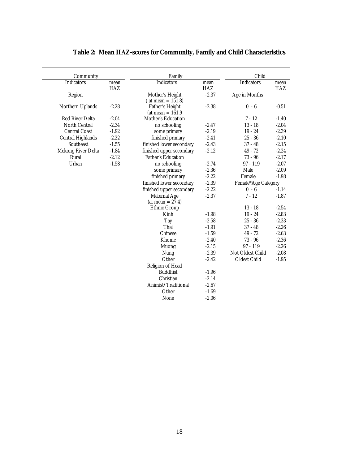| Community                 |             | Family                    |                    | Child                |             |
|---------------------------|-------------|---------------------------|--------------------|----------------------|-------------|
| <b>Indicators</b>         | mean<br>HAZ | <b>Indicators</b>         | mean<br><b>HAZ</b> | <b>Indicators</b>    | mean<br>HAZ |
| Region                    |             | Mother's Height           | $-2.37$            | <b>Age in Months</b> |             |
|                           |             | $($ at mean = 151.8)      |                    |                      |             |
| Northern Uplands          | $-2.28$     | <b>Father's Height</b>    | $-2.38$            | $0 - 6$              | $-0.51$     |
|                           |             | (at mean $= 161.9$ )      |                    |                      |             |
| <b>Red River Delta</b>    | $-2.04$     | <b>Mother's Education</b> |                    | $7 - 12$             | $-1.40$     |
| North Central             | $-2.34$     | no schooling              | $-2.47$            | $13 - 18$            | $-2.04$     |
| <b>Central Coast</b>      | $-1.92$     | some primary              | $-2.19$            | $19 - 24$            | $-2.39$     |
| <b>Central Highlands</b>  | $-2.22$     | finished primary          | $-2.41$            | $25 - 36$            | $-2.10$     |
| Southeast                 | $-1.55$     | finished lower secondary  | $-2.43$            | $37 - 48$            | $-2.15$     |
| <b>Mekong River Delta</b> | $-1.84$     | finished upper secondary  | $-2.12$            | $49 - 72$            | $-2.24$     |
| Rural                     | $-2.12$     | <b>Father's Education</b> |                    | $73 - 96$            | $-2.17$     |
| Urban                     | $-1.58$     | no schooling              | $-2.74$            | $97 - 119$           | $-2.07$     |
|                           |             | some primary              | $-2.36$            | Male                 | $-2.09$     |
|                           |             | finished primary          | $-2.22$            | Female               | $-1.98$     |
|                           |             | finished lower secondary  | $-2.39$            | Female*Age Category  |             |
|                           |             | finished upper secondary  | $-2.22$            | $0 - 6$              | $-1.14$     |
|                           |             | <b>Maternal Age</b>       | $-2.37$            | $7 - 12$             | $-1.87$     |
|                           |             | (at mean $= 27.4$ )       |                    |                      |             |
|                           |             | <b>Ethnic Group</b>       |                    | $13 - 18$            | $-2.54$     |
|                           |             | Kinh                      | $-1.98$            | $19 - 24$            | $-2.83$     |
|                           |             | Tay                       | $-2.58$            | $25 - 36$            | $-2.33$     |
|                           |             | Thai                      | $-1.91$            | $37 - 48$            | $-2.26$     |
|                           |             | <b>Chinese</b>            | $-1.59$            | $49 - 72$            | $-2.63$     |
|                           |             | Khome                     | $-2.40$            | $73 - 96$            | $-2.36$     |
|                           |             | Muong                     | $-2.15$            | $97 - 119$           | $-2.26$     |
|                           |             | Nung                      | $-2.39$            | Not Oldest Child     | $-2.08$     |
|                           |             | Other                     | $-2.42$            | <b>Oldest Child</b>  | $-1.95$     |
|                           |             | Religion of Head          |                    |                      |             |
|                           |             | <b>Buddhist</b>           | $-1.96$            |                      |             |
|                           |             | Christian                 | $-2.14$            |                      |             |
|                           |             | Animist/Traditional       | $-2.67$            |                      |             |
|                           |             | Other                     | $-1.69$            |                      |             |
|                           |             | None                      | $-2.06$            |                      |             |
|                           |             |                           |                    |                      |             |

## **Table 2: Mean HAZ-scores for Community, Family and Child Characteristics**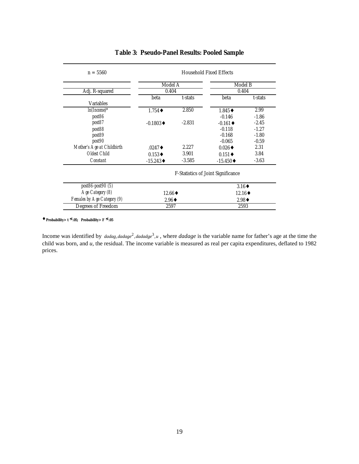| $n = 5560$                  | <b>Household Fixed Effects</b>     |          |                         |         |  |
|-----------------------------|------------------------------------|----------|-------------------------|---------|--|
|                             | Model A                            |          | <b>Model B</b><br>0.404 |         |  |
| Adj. R-squared              | 0.404                              |          |                         |         |  |
| <b>Variables</b>            | beta                               | t-stats  | beta                    | t-stats |  |
| $ln(Inome)*$                | $1.754 \bullet$                    | 2.850    | $1.845 \bullet$         | 2.99    |  |
| post86                      |                                    |          | $-0.146$                | $-1.86$ |  |
| post87                      | $-0.1803 \bullet$                  | $-2.831$ | $-0.161 \bullet$        | $-2.45$ |  |
| post88                      |                                    |          | $-0.118$                | $-1.27$ |  |
| post89                      |                                    |          | $-0.168$                | $-1.80$ |  |
| post90                      |                                    |          | $-0.065$                | $-0.59$ |  |
| Mother's Age at Childbirth  | $.0247 \bullet$                    | 2.227    | $0.026 \triangleleft$   | 2.31    |  |
| Oldest Child                | $0.153\bullet$                     | 3.901    | $0.151 \bullet$         | 3.84    |  |
| <i>Constant</i>             | $-15.243 \bullet$                  | $-3.585$ | $-15.450 \bullet$       | $-3.63$ |  |
|                             | F-Statistics of Joint Significance |          |                         |         |  |
| <i>post86-post90 (5)</i>    |                                    |          | $3.16\bullet$           |         |  |
| Age Category (8)            | $12.66 \rightarrow$                |          | $12.16 \rightarrow$     |         |  |
| Females by Age Category (9) | $2.96\bullet$                      |          | $2.98 \triangleleft$    |         |  |
| Degrees of Freedom          | 2597                               |          | 2593                    |         |  |

#### **Table 3: Pseudo-Panel Results: Pooled Sample**

♦ **Probability> t** ≤ **.05; Probability> F** ≤ **.05**

Income was identified by *dadag, dadage*<sup>2</sup>, *dadadge*<sup>3</sup>, *u*, where *dadage* is the variable name for father's age at the time the child was born, and *u,* the residual. The income variable is measured as real per capita expenditures, deflated to 1982 prices.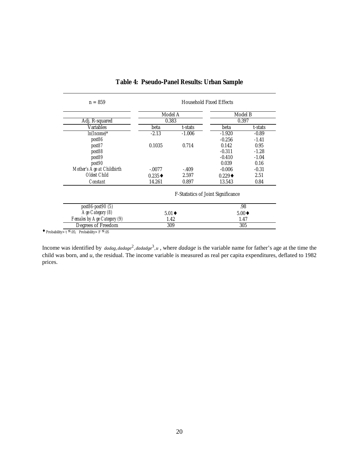| $n = 859$                  | <b>Household Fixed Effects</b>            |          |                 |         |  |
|----------------------------|-------------------------------------------|----------|-----------------|---------|--|
|                            | Model A                                   |          | Model B         |         |  |
| Adj. R-squared             | 0.383                                     |          | 0.397           |         |  |
| <b>Variables</b>           | beta                                      | t-stats  | beta            | t-stats |  |
| $ln(Inome)*$               | $-2.13$                                   | $-1.006$ | $-1.920$        | $-0.89$ |  |
| post86                     |                                           |          | $-0.256$        | $-1.41$ |  |
| post87                     | 0.1035                                    | 0.714    | 0.142           | 0.95    |  |
| post88                     |                                           |          | $-0.311$        | $-1.28$ |  |
| post89                     |                                           |          | $-0.410$        | $-1.04$ |  |
| post90                     |                                           |          | 0.039           | 0.16    |  |
| Mother's Age at Childbirth | $-.0077$                                  | $-.409$  | $-0.006$        | $-0.31$ |  |
| <b>Oldest Child</b>        | $0.235\bullet$                            | 2.597    | $0.229 \bullet$ | 2.51    |  |
| <i>Constant</i>            | 14.261                                    | 0.897    | 13.543          | 0.84    |  |
|                            | <b>F-Statistics of Joint Significance</b> |          |                 |         |  |
| <i>post86-post90 (5)</i>   |                                           |          |                 | .98     |  |
| Age Category (8)           | $5.01 \bullet$                            |          | $5.00 \bullet$  |         |  |

*Females by Age Category (9)* 1.42 1.47 Degrees of Freedom 309 305

## **Table 4: Pseudo-Panel Results: Urban Sample**

◆ Probability>  $t \leq 0.05$ ; Probability> F  $\leq 0.05$ 

Income was identified by *dadag, dadage*<sup>2</sup>, *dadadge*<sup>3</sup>, *u*, where *dadage* is the variable name for father's age at the time the child was born, and *u,* the residual. The income variable is measured as real per capita expenditures, deflated to 1982 prices.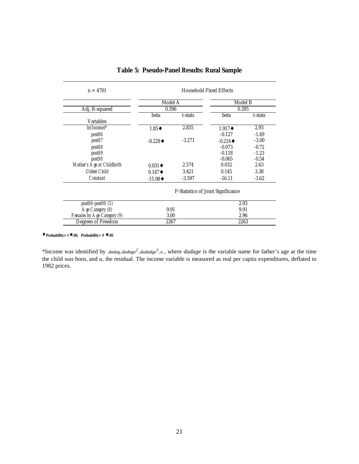| $n = 4701$                  | <b>Household Fixed Effects</b>            |          |                         |         |  |
|-----------------------------|-------------------------------------------|----------|-------------------------|---------|--|
|                             | Model A                                   |          | <b>Model B</b><br>0.395 |         |  |
| Adj. R-squared              | 0.396                                     |          |                         |         |  |
|                             | beta<br>t-stats                           |          | beta                    | t-stats |  |
| <b>Variables</b>            |                                           |          |                         |         |  |
| $ln(Income)$ *              | $1.85 \rightarrow$                        | 2.835    | $1.917 \bullet$         | 2.93    |  |
| post86                      |                                           |          | $-0.127$                | $-1.49$ |  |
| post87                      | $-0.228 \triangleleft$                    | $-3.271$ | $-0.216 \triangleleft$  | $-3.00$ |  |
| post88                      |                                           |          | $-0.073$                | $-0.72$ |  |
| post89                      |                                           |          | $-0.118$                | $-1.23$ |  |
| post90                      |                                           |          | $-0.065$                | $-0.54$ |  |
| Mother's Age at Childbirth  | $0.031 \bullet$                           | 2.574    | 0.032                   | 2.63    |  |
| Oldest Child                | $0.147 \bullet$                           | 3.421    | 0.145                   | 3.38    |  |
| <i>Constant</i>             | $-15.98 \div$                             | $-3.597$ | $-16.11$                | $-3.62$ |  |
|                             | <b>F-Statistics of Joint Significance</b> |          |                         |         |  |
| post86-post90 (5)           |                                           |          |                         | 2.93    |  |
| Age Category (8)            | 9.91                                      |          | 9.91                    |         |  |
| Females by Age Category (9) | 3.00                                      |          | 2.96                    |         |  |
| Degrees of Freedom          | 2267<br>2263                              |          |                         |         |  |

## **Table 5: Pseudo-Panel Results: Rural Sample**

♦ **Probability> t** ≤ **.05; Probability> F** ≤ **.05**

\*Income was identified by *dadag, dadage*<sup>2</sup>, *dadadge*<sup>3</sup>, *u*, where *dadage* is the variable name for father's age at the time the child was born, and *u,* the residual. The income variable is measured as real per capita expenditures, deflated to 1982 prices.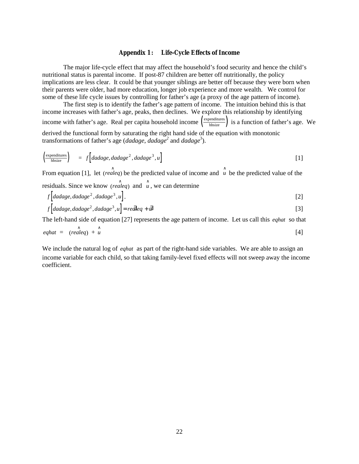#### **Appendix 1 : Life-Cycle Effects of Income**

The major life-cycle effect that may affect the household's food security and hence the child's nutritional status is parental income. If post-87 children are better off nutritionally, the policy implications are less clear. It could be that younger siblings are better off because they were born when their parents were older, had more education, longer job experience and more wealth. We control for some of these life cycle issues by controlling for father's age (a proxy of the age pattern of income).

The first step is to identify the father's age pattern of income. The intuition behind this is that income increases with father's age, peaks, then declines. We explore this relationship by identifying income with father's age. Real per capita household income  $\frac{\text{expenditures}}{\text{hhsize}}$  is a function of father's age. We derived the functional form by saturating the right hand side of the equation with monotonic transformations of father's age (*dadage*, *dadage<sup>2</sup>* and *dadage*<sup>3</sup> ).

$$
\left(\frac{\text{expenditures}}{\text{hhsize}}\right) = f\left[adaage, dadage^2, dadage^3, u\right]
$$
 [1]

From equation [1], let (*realeq*) be the predicted value of income and  $\hat{u}$  be the predicted value of the residuals. Since we know *(realeq)* and  $\hat{u}$ , we can determine

$$
f[dadage, dadage2, dadage3, u].
$$
 [2]

$$
f\left[adage, dadage^2, dadage^3, u\right] = re\vec{a} \cdot \vec{a} \cdot \vec{a}
$$

The left-hand side of equation [27] represents the age pattern of income. Let us call this *eqhat* so that

$$
eqhat = (realeq) + \hat{u}
$$
 [4]

We include the natural log of *eghat* as part of the right-hand side variables. We are able to assign an income variable for each child, so that taking family-level fixed effects will not sweep away the income coefficient.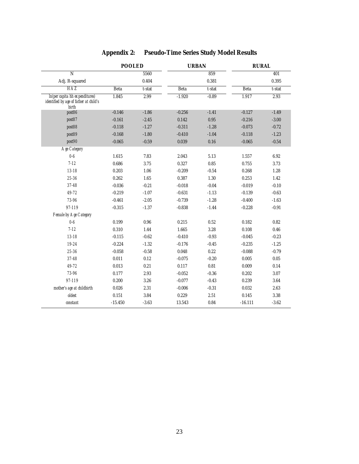|                                                                                   | <b>POOLED</b> |         |             | <b>URBAN</b> |           | <b>RURAL</b>    |  |  |
|-----------------------------------------------------------------------------------|---------------|---------|-------------|--------------|-----------|-----------------|--|--|
| $\overline{N}$                                                                    |               | 5560    |             | 859          |           | 401             |  |  |
| Adj. R-squared                                                                    |               | 0.404   |             | 0.381        |           | 0.395           |  |  |
| $H\!A\!Z$                                                                         | <b>Beta</b>   | t-stat  | <b>Beta</b> | t-stat       | Beta      | t-stat          |  |  |
| In(per capita hh expenditures)<br>identified by age of father at child's<br>birth | 1.845         | 2.99    | $-1.920$    | $-0.89$      | 1.917     | 2.93            |  |  |
| post86                                                                            | $-0.146$      | $-1.86$ | $-0.256$    | $-1.41$      | $-0.127$  | $-1.49$         |  |  |
| post87                                                                            | $-0.161$      | $-2.45$ | 0.142       | 0.95         | $-0.216$  | $-3.00$         |  |  |
| post88                                                                            | $-0.118$      | $-1.27$ | $-0.311$    | $-1.28$      | $-0.073$  | $-0.72$         |  |  |
| post89                                                                            | $-0.168$      | $-1.80$ | $-0.410$    | $-1.04$      | $-0.118$  | $-1.23$         |  |  |
| post90                                                                            | $-0.065$      | $-0.59$ | 0.039       | 0.16         | $-0.065$  | $-0.54$         |  |  |
| <b>Age Category</b>                                                               |               |         |             |              |           |                 |  |  |
| $0 - 6$                                                                           | 1.615         | 7.83    | 2.043       | 5.13         | 1.557     | 6.92            |  |  |
| $7 - 12$                                                                          | 0.686         | 3.75    | 0.327       | 0.85         | 0.755     | 3.73            |  |  |
| $13 - 18$                                                                         | 0.203         | 1.06    | $-0.209$    | $-0.54$      | 0.268     | 1.28            |  |  |
| $25 - 36$                                                                         | 0.262         | 1.65    | 0.387       | 1.30         | 0.253     | 1.42            |  |  |
| $37 - 48$                                                                         | $-0.036$      | $-0.21$ | $-0.018$    | $-0.04$      | $-0.019$  | $-0.10$         |  |  |
| $49 - 72$                                                                         | $-0.219$      | $-1.07$ | $-0.631$    | $-1.13$      | $-0.139$  | $-0.63$         |  |  |
| 73-96                                                                             | $-0.461$      | $-2.05$ | $-0.739$    | $-1.28$      | $-0.400$  | $-1.63$         |  |  |
| 97-119                                                                            | $-0.315$      | $-1.37$ | $-0.838$    | $-1.44$      | $-0.228$  | $-0.91$         |  |  |
| Female by Age Category                                                            |               |         |             |              |           |                 |  |  |
| $0 - 6$                                                                           | 0.199         | 0.96    | 0.215       | 0.52         | 0.182     | 0.82            |  |  |
| $7 - 12$                                                                          | 0.310         | 1.44    | 1.665       | 3.28         | 0.108     | 0.46            |  |  |
| $13 - 18$                                                                         | $-0.115$      | $-0.62$ | $-0.410$    | $-0.93$      | $-0.045$  | $-0.23$         |  |  |
| 19-24                                                                             | $-0.224$      | $-1.32$ | $-0.176$    | $-0.45$      | $-0.235$  | $-1.25$         |  |  |
| 25-36                                                                             | $-0.058$      | $-0.58$ | 0.048       | 0.22         | $-0.088$  | $-0.79$         |  |  |
| $37 - 48$                                                                         | 0.011         | 0.12    | $-0.075$    | $-0.20$      | 0.005     | $\mathbf{0.05}$ |  |  |
| $49 - 72$                                                                         | 0.013         | 0.21    | 0.117       | 0.81         | 0.009     | 0.14            |  |  |
| 73-96                                                                             | 0.177         | 2.93    | $-0.052$    | $-0.36$      | 0.202     | 3.07            |  |  |
| 97-119                                                                            | 0.200         | 3.26    | $-0.077$    | $-0.43$      | 0.239     | 3.64            |  |  |
| mother's age at childbirth                                                        | 0.026         | 2.31    | $-0.006$    | $-0.31$      | 0.032     | 2.63            |  |  |
| oldest                                                                            | 0.151         | 3.84    | 0.229       | $2.51\,$     | 0.145     | 3.38            |  |  |
| constant                                                                          | $-15.450$     | $-3.63$ | 13.543      | 0.84         | $-16.111$ | $-3.62$         |  |  |

## **Appendix 2: Pseudo-Time Series Study Model Results**